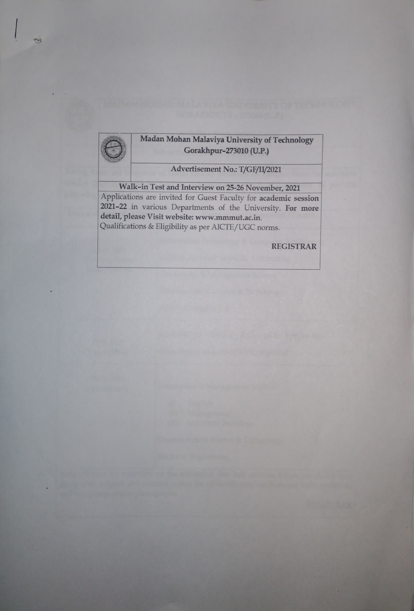

Advertisement No.: T/GF/I/2021

Walk-in Test and Interview on 25-26 November, 2021

**CH3** 

Applications are invited for Guest Faculty for academic session 2021-22 in various Departments of the University. For more detail, please Visit website: www.mmmut.ac.in. Qualifications & Eligibility as per AICTE/UGC norms.

REGISTRAR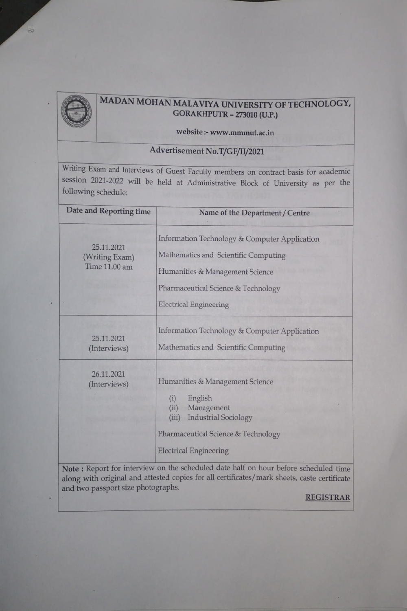

# MADAN MOHAN MALAVIYA UNIVERSITY OF TECHNOLOGY, GORAKHPUTR - 273010 (U.P.)

### website:- www.mmmut.ac.in

## Advertisement No.T/GF/I1/2021

Writing Exam and Interviews of Guest Faculty members on contract basis for academic session 2021-2022 will be held at Administrative Block of University as per the following schedule:

| Date and Reporting time                       | Name of the Department / Centre                                                                                                                                                                                                                                                |  |  |
|-----------------------------------------------|--------------------------------------------------------------------------------------------------------------------------------------------------------------------------------------------------------------------------------------------------------------------------------|--|--|
| 25.11.2021<br>(Writing Exam)<br>Time 11.00 am | Information Technology & Computer Application<br>Mathematics and Scientific Computing<br>Humanities & Management Science<br>Pharmaceutical Science & Technology<br><b>Electrical Engineering</b>                                                                               |  |  |
| 25.11.2021<br>(Interviews)                    | Information Technology & Computer Application<br>Mathematics and Scientific Computing                                                                                                                                                                                          |  |  |
| 26.11.2021<br>(Interviews)                    | Humanities & Management Science<br>(i)<br>English<br>Management<br>(ii)<br><b>Industrial Sociology</b><br>(iii)<br>Pharmaceutical Science & Technology<br><b>Electrical Engineering</b><br>Note: Perpet for interview on the scheduled date half on hour before scheduled time |  |  |

Note: Report for interview on the scheduled date half on hour before scheduled time along with original and attested copies for all certificates/mark sheets, caste certificate and two passport size photographs.

REGISTRAR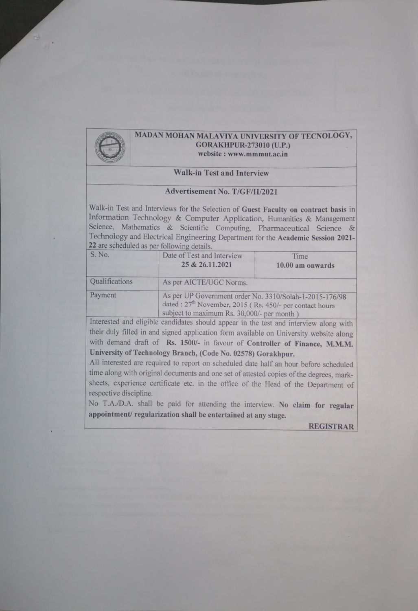

# MADAN MOHAN MALAVIYA UNIVERSITY OF TECNOLOGY,<br>GORAKHPUR-273010 (U.P.) website: www.mmmut.ac.in

## Walk-in Test and Interview

### Advertisement No. T/GF/I/2021

Walk-in Test and Interviews for the Selection of Guest Faculty on contract basis in Information Technology & Computer Application, Humanities & Management Science, Mathematics & Scientific Computing,. Pharmaceutical Science & Technology and Electrical Engineering Department for the Academic Session 2021- 22 are scheduled as per following details.

| S. No.         | Date of Test and Interview<br>Time<br>25 & 26.11.2021<br>10.00 am onwards                                                                                                      |  |  |  |  |  |
|----------------|--------------------------------------------------------------------------------------------------------------------------------------------------------------------------------|--|--|--|--|--|
| Qualifications |                                                                                                                                                                                |  |  |  |  |  |
| Payment        | As per UP Government order No. 3310/Solah-1-2015-176/98<br>dated : 27 <sup>th</sup> November, 2015 (Rs. 450/- per contact hours)<br>subject to maximum Rs. 30,000/- per month) |  |  |  |  |  |

Interested and eligible candidates should appear in the test and interview along with their duly filled in and signed application form available on University website along with demand draft of Rs. 1500/- in favour of Controller of Finance, M.M.M. University of Technology Branch, (Code No. 02578) Gorakhpur.

All interested are required to report on scheduled date half an hour before scheduled time along with original documents and one set of attested copies of the degrees, mark sheets, experience certificate etc. in the office of the Head of the Department of respective discipline.

No T.A./D.A. shall be paid for attending the interview. No claim for regular appointment/ regularization shall be entertained at any stage.

REGISTRAR